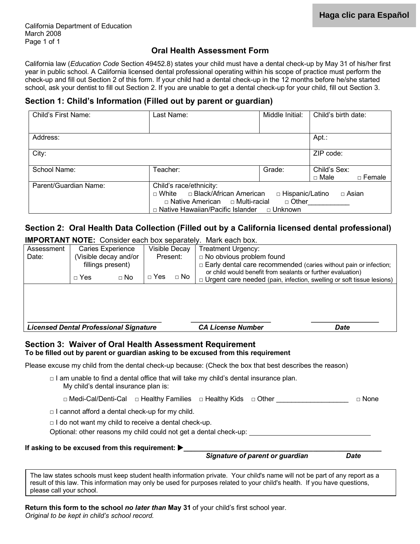#### **Oral Health Assessment Form**

California law (*Education Code* Section 49452.8) states your child must have a dental check-up by May 31 of his/her first year in public school. A California licensed dental professional operating within his scope of practice must perform the check-up and fill out Section 2 of this form. If your child had a dental check-up in the 12 months before he/she started school, ask your dentist to fill out Section 2. If you are unable to get a dental check-up for your child, fill out Section 3.

#### **Section 1: Child's Information (Filled out by parent or guardian)**

| Child's First Name:   | Last Name:                                                                                                                                      | Middle Initial:                           | Child's birth date:                |
|-----------------------|-------------------------------------------------------------------------------------------------------------------------------------------------|-------------------------------------------|------------------------------------|
|                       |                                                                                                                                                 |                                           |                                    |
| Address:              |                                                                                                                                                 |                                           | Apt.:                              |
| City:                 |                                                                                                                                                 |                                           | ZIP code:                          |
| School Name:          | Teacher:                                                                                                                                        | Grade:                                    | Child's Sex:<br>□ Male<br>□ Female |
| Parent/Guardian Name: | Child's race/ethnicity:<br>□ White □ Black/African American<br>$\Box$ Native American $\Box$ Multi-racial<br>□ Native Hawaiian/Pacific Islander | □ Hispanic/Latino<br>□ Other<br>□ Unknown | $\Box$ Asian                       |

# **Section 2: Oral Health Data Collection (Filled out by a California licensed dental professional)**

**IMPORTANT NOTE:** Consider each box separately. Mark each box.

| Assessment                                                           |                                                             | <b>Caries Experience</b> | Visible Decay |           | <b>Treatment Urgency:</b>                                                                                                                    |               |  |
|----------------------------------------------------------------------|-------------------------------------------------------------|--------------------------|---------------|-----------|----------------------------------------------------------------------------------------------------------------------------------------------|---------------|--|
| Date:                                                                |                                                             | (Visible decay and/or    | Present:      |           | □ No obvious problem found                                                                                                                   |               |  |
|                                                                      |                                                             | fillings present)        |               |           | $\Box$ Early dental care recommended (caries without pain or infection;                                                                      |               |  |
|                                                                      | $\Box$ Yes                                                  | $\Box$ No                | $\sqcap$ Yes  | $\Box$ No | or child would benefit from sealants or further evaluation)                                                                                  |               |  |
|                                                                      |                                                             |                          |               |           | $\Box$ Urgent care needed (pain, infection, swelling or soft tissue lesions)                                                                 |               |  |
|                                                                      |                                                             |                          |               |           |                                                                                                                                              |               |  |
|                                                                      |                                                             |                          |               |           |                                                                                                                                              |               |  |
|                                                                      |                                                             |                          |               |           |                                                                                                                                              |               |  |
| <b>Licensed Dental Professional Signature</b>                        |                                                             |                          |               |           | <b>CA License Number</b>                                                                                                                     | <b>Date</b>   |  |
|                                                                      |                                                             |                          |               |           |                                                                                                                                              |               |  |
|                                                                      |                                                             |                          |               |           |                                                                                                                                              |               |  |
|                                                                      |                                                             |                          |               |           |                                                                                                                                              |               |  |
|                                                                      |                                                             |                          |               |           | Section 3: Waiver of Oral Health Assessment Requirement<br>To be filled out by parent or guardian asking to be excused from this requirement |               |  |
|                                                                      |                                                             |                          |               |           | Please excuse my child from the dental check-up because: (Check the box that best describes the reason)                                      |               |  |
|                                                                      |                                                             |                          |               |           | $\Box$ I am unable to find a dental office that will take my child's dental insurance plan.                                                  |               |  |
|                                                                      | My child's dental insurance plan is:                        |                          |               |           |                                                                                                                                              | $\sqcap$ None |  |
|                                                                      |                                                             |                          |               |           | □ Medi-Cal/Denti-Cal  □ Healthy Families  □ Healthy Kids  □ Other _________                                                                  |               |  |
|                                                                      | $\Box$ I cannot afford a dental check-up for my child.      |                          |               |           |                                                                                                                                              |               |  |
|                                                                      | $\Box$ I do not want my child to receive a dental check-up. |                          |               |           |                                                                                                                                              |               |  |
|                                                                      |                                                             |                          |               |           | Optional: other reasons my child could not get a dental check-up:                                                                            |               |  |
| If asking to be excused from this requirement: $\blacktriangleright$ |                                                             |                          |               |           |                                                                                                                                              |               |  |

The law states schools must keep student health information private. Your child's name will not be part of any report as a result of this law. This information may only be used for purposes related to your child's health. If you have questions, please call your school.

**Return this form to the school** *no later than* **May 31** of your child's first school year.

*Original to be kept in child's school record.*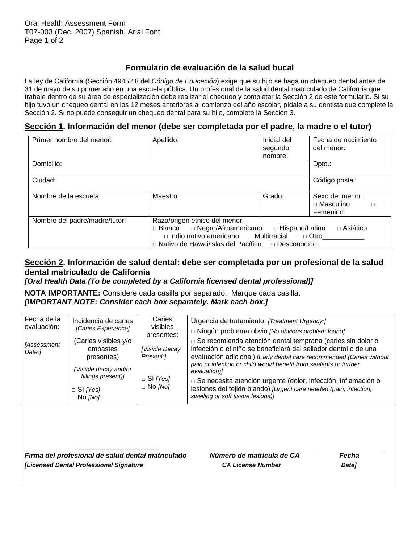### **Formulario de evaluación de la salud bucal**

La ley de California (Sección 49452.8 del *Código de Educación*) exige que su hijo se haga un chequeo dental antes del 31 de mayo de su primer año en una escuela pública. Un profesional de la salud dental matriculado de California que trabaje dentro de su área de especialización debe realizar el chequeo y completar la Sección 2 de este formulario. Si su hijo tuvo un chequeo dental en los 12 meses anteriores al comienzo del año escolar, pídale a su dentista que complete la Sección 2. Si no puede conseguir un chequeo dental para su hijo, complete la Sección 3.

#### **Sección 1. Información del menor (debe ser completada por el padre, la madre o el tutor)**

| Primer nombre del menor:      | Apellido:                                                                                                                                                                                                                  | Inicial del<br>segundo<br>nombre: | Fecha de nacimiento<br>del menor:                         |
|-------------------------------|----------------------------------------------------------------------------------------------------------------------------------------------------------------------------------------------------------------------------|-----------------------------------|-----------------------------------------------------------|
| Domicilio:                    |                                                                                                                                                                                                                            |                                   | Dpto.:                                                    |
| Ciudad:                       |                                                                                                                                                                                                                            |                                   | Código postal:                                            |
| Nombre de la escuela:         | Maestro:                                                                                                                                                                                                                   | Grado:                            | Sexo del menor:<br>$\Box$ Masculino<br>$\Box$<br>Femenino |
| Nombre del padre/madre/tutor: | Raza/origen étnico del menor:<br>□ Blanco □ Negro/Afroamericano □ Hispano/Latino<br>$\Box$ Asiático<br>$\Box$ Indio nativo americano $\Box$ Multirracial $\Box$ Otro<br>□ Nativo de Hawai/islas del Pacífico □ Desconocido |                                   |                                                           |

## **Sección 2. Información de salud dental: debe ser completada por un profesional de la salud dental matriculado de California**

*[Oral Health Data (To be completed by a California licensed dental professional)]*

**NOTA IMPORTANTE:** Considere cada casilla por separado. Marque cada casilla. *[IMPORTANT NOTE: Consider each box separately. Mark each box.]*

| Fecha de la<br>evaluación:<br>[Assessment<br>Date:1 | Incidencia de caries<br>[Caries Experience]<br>(Caries visibles y/o<br>empastes<br>presentes)<br>(Visible decay and/or<br>fillings present)]<br>$\Box$ Sí [Yes]<br>$\Box$ No [No] | Caries<br>visibles<br>presentes:<br>[Visible Decay<br>Present:1<br>$\Box$ Si [Yes]<br>$\Box$ No [No] | Urgencia de tratamiento: [Treatment Urgency:]<br>$\Box$ Ningún problema obvio <i>[No obvious problem found]</i><br>$\Box$ Se recomienda atención dental temprana (caries sin dolor o<br>infección o el niño se beneficiará del sellador dental o de una<br>evaluación adicional) [Early dental care recommended (Caries without<br>pain or infection or child would benefit from sealants or further<br>evaluation)]<br>$\Box$ Se necesita atención urgente (dolor, infección, inflamación o<br>lesiones del tejido blando) [Urgent care needed (pain, infection,<br>swelling or soft tissue lesions)] |                            |
|-----------------------------------------------------|-----------------------------------------------------------------------------------------------------------------------------------------------------------------------------------|------------------------------------------------------------------------------------------------------|--------------------------------------------------------------------------------------------------------------------------------------------------------------------------------------------------------------------------------------------------------------------------------------------------------------------------------------------------------------------------------------------------------------------------------------------------------------------------------------------------------------------------------------------------------------------------------------------------------|----------------------------|
|                                                     | Firma del profesional de salud dental matriculado<br>[Licensed Dental Professional Signature                                                                                      |                                                                                                      | Número de matrícula de CA<br><b>CA License Number</b>                                                                                                                                                                                                                                                                                                                                                                                                                                                                                                                                                  | Fecha<br>Date <sub>l</sub> |